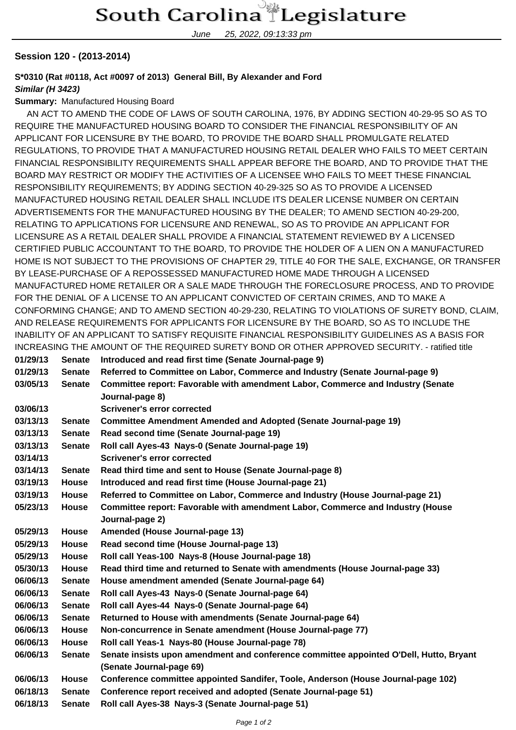June 25, 2022, 09:13:33 pm

### **Session 120 - (2013-2014)**

## **S\*0310 (Rat #0118, Act #0097 of 2013) General Bill, By Alexander and Ford**

### **Similar (H 3423)**

#### **Summary:** Manufactured Housing Board

 AN ACT TO AMEND THE CODE OF LAWS OF SOUTH CAROLINA, 1976, BY ADDING SECTION 40-29-95 SO AS TO REQUIRE THE MANUFACTURED HOUSING BOARD TO CONSIDER THE FINANCIAL RESPONSIBILITY OF AN APPLICANT FOR LICENSURE BY THE BOARD, TO PROVIDE THE BOARD SHALL PROMULGATE RELATED REGULATIONS, TO PROVIDE THAT A MANUFACTURED HOUSING RETAIL DEALER WHO FAILS TO MEET CERTAIN FINANCIAL RESPONSIBILITY REQUIREMENTS SHALL APPEAR BEFORE THE BOARD, AND TO PROVIDE THAT THE BOARD MAY RESTRICT OR MODIFY THE ACTIVITIES OF A LICENSEE WHO FAILS TO MEET THESE FINANCIAL RESPONSIBILITY REQUIREMENTS; BY ADDING SECTION 40-29-325 SO AS TO PROVIDE A LICENSED MANUFACTURED HOUSING RETAIL DEALER SHALL INCLUDE ITS DEALER LICENSE NUMBER ON CERTAIN ADVERTISEMENTS FOR THE MANUFACTURED HOUSING BY THE DEALER; TO AMEND SECTION 40-29-200, RELATING TO APPLICATIONS FOR LICENSURE AND RENEWAL, SO AS TO PROVIDE AN APPLICANT FOR LICENSURE AS A RETAIL DEALER SHALL PROVIDE A FINANCIAL STATEMENT REVIEWED BY A LICENSED CERTIFIED PUBLIC ACCOUNTANT TO THE BOARD, TO PROVIDE THE HOLDER OF A LIEN ON A MANUFACTURED HOME IS NOT SUBJECT TO THE PROVISIONS OF CHAPTER 29, TITLE 40 FOR THE SALE, EXCHANGE, OR TRANSFER BY LEASE-PURCHASE OF A REPOSSESSED MANUFACTURED HOME MADE THROUGH A LICENSED MANUFACTURED HOME RETAILER OR A SALE MADE THROUGH THE FORECLOSURE PROCESS, AND TO PROVIDE FOR THE DENIAL OF A LICENSE TO AN APPLICANT CONVICTED OF CERTAIN CRIMES, AND TO MAKE A CONFORMING CHANGE; AND TO AMEND SECTION 40-29-230, RELATING TO VIOLATIONS OF SURETY BOND, CLAIM, AND RELEASE REQUIREMENTS FOR APPLICANTS FOR LICENSURE BY THE BOARD, SO AS TO INCLUDE THE INABILITY OF AN APPLICANT TO SATISFY REQUISITE FINANCIAL RESPONSIBILITY GUIDELINES AS A BASIS FOR INCREASING THE AMOUNT OF THE REQUIRED SURETY BOND OR OTHER APPROVED SECURITY. - ratified title

| 01/29/13 | <b>Senate</b> | Introduced and read first time (Senate Journal-page 9)                                             |
|----------|---------------|----------------------------------------------------------------------------------------------------|
| 01/29/13 | <b>Senate</b> | Referred to Committee on Labor, Commerce and Industry (Senate Journal-page 9)                      |
| 03/05/13 | <b>Senate</b> | Committee report: Favorable with amendment Labor, Commerce and Industry (Senate<br>Journal-page 8) |
| 03/06/13 |               | <b>Scrivener's error corrected</b>                                                                 |
| 03/13/13 | <b>Senate</b> | <b>Committee Amendment Amended and Adopted (Senate Journal-page 19)</b>                            |
| 03/13/13 | <b>Senate</b> | Read second time (Senate Journal-page 19)                                                          |
| 03/13/13 | <b>Senate</b> | Roll call Ayes-43 Nays-0 (Senate Journal-page 19)                                                  |
| 03/14/13 |               | Scrivener's error corrected                                                                        |
| 03/14/13 | <b>Senate</b> | Read third time and sent to House (Senate Journal-page 8)                                          |
| 03/19/13 | <b>House</b>  | Introduced and read first time (House Journal-page 21)                                             |
| 03/19/13 | <b>House</b>  | Referred to Committee on Labor, Commerce and Industry (House Journal-page 21)                      |
| 05/23/13 | <b>House</b>  | Committee report: Favorable with amendment Labor, Commerce and Industry (House                     |
|          |               | Journal-page 2)                                                                                    |
| 05/29/13 | House         | Amended (House Journal-page 13)                                                                    |
| 05/29/13 | House         | Read second time (House Journal-page 13)                                                           |
| 05/29/13 | House         | Roll call Yeas-100 Nays-8 (House Journal-page 18)                                                  |
| 05/30/13 | <b>House</b>  | Read third time and returned to Senate with amendments (House Journal-page 33)                     |
| 06/06/13 | <b>Senate</b> | House amendment amended (Senate Journal-page 64)                                                   |
| 06/06/13 | <b>Senate</b> | Roll call Ayes-43 Nays-0 (Senate Journal-page 64)                                                  |
| 06/06/13 | <b>Senate</b> | Roll call Ayes-44 Nays-0 (Senate Journal-page 64)                                                  |
| 06/06/13 | <b>Senate</b> | Returned to House with amendments (Senate Journal-page 64)                                         |
| 06/06/13 | House         | Non-concurrence in Senate amendment (House Journal-page 77)                                        |
| 06/06/13 | House         | Roll call Yeas-1 Nays-80 (House Journal-page 78)                                                   |
| 06/06/13 | <b>Senate</b> | Senate insists upon amendment and conference committee appointed O'Dell, Hutto, Bryant             |
|          |               | (Senate Journal-page 69)                                                                           |
| 06/06/13 | House         | Conference committee appointed Sandifer, Toole, Anderson (House Journal-page 102)                  |
| 06/18/13 | <b>Senate</b> | Conference report received and adopted (Senate Journal-page 51)                                    |
| 06/18/13 | <b>Senate</b> | Roll call Ayes-38 Nays-3 (Senate Journal-page 51)                                                  |